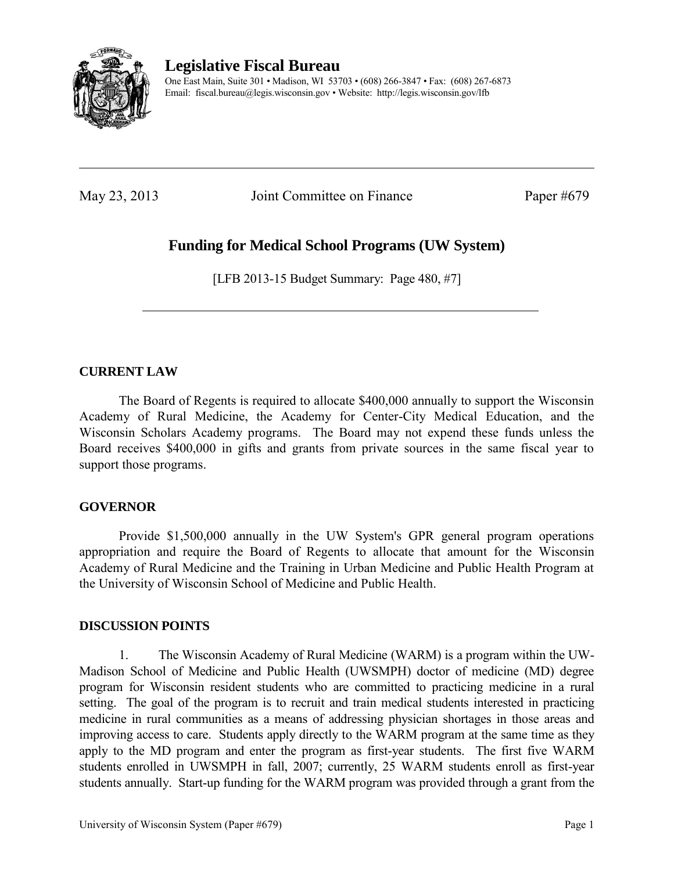

**Legislative Fiscal Bureau** 

One East Main, Suite 301 • Madison, WI 53703 • (608) 266-3847 • Fax: (608) 267-6873 Email: fiscal.bureau@legis.wisconsin.gov • Website:<http://legis.wisconsin.gov/lfb>

May 23, 2013 Joint Committee on Finance Paper #679

# **Funding for Medical School Programs (UW System)**

[LFB 2013-15 Budget Summary: Page 480, #7]

## **CURRENT LAW**

 The Board of Regents is required to allocate \$400,000 annually to support the Wisconsin Academy of Rural Medicine, the Academy for Center-City Medical Education, and the Wisconsin Scholars Academy programs. The Board may not expend these funds unless the Board receives \$400,000 in gifts and grants from private sources in the same fiscal year to support those programs.

## **GOVERNOR**

 Provide \$1,500,000 annually in the UW System's GPR general program operations appropriation and require the Board of Regents to allocate that amount for the Wisconsin Academy of Rural Medicine and the Training in Urban Medicine and Public Health Program at the University of Wisconsin School of Medicine and Public Health.

## **DISCUSSION POINTS**

1. The Wisconsin Academy of Rural Medicine (WARM) is a program within the UW-Madison School of Medicine and Public Health (UWSMPH) doctor of medicine (MD) degree program for Wisconsin resident students who are committed to practicing medicine in a rural setting. The goal of the program is to recruit and train medical students interested in practicing medicine in rural communities as a means of addressing physician shortages in those areas and improving access to care. Students apply directly to the WARM program at the same time as they apply to the MD program and enter the program as first-year students. The first five WARM students enrolled in UWSMPH in fall, 2007; currently, 25 WARM students enroll as first-year students annually. Start-up funding for the WARM program was provided through a grant from the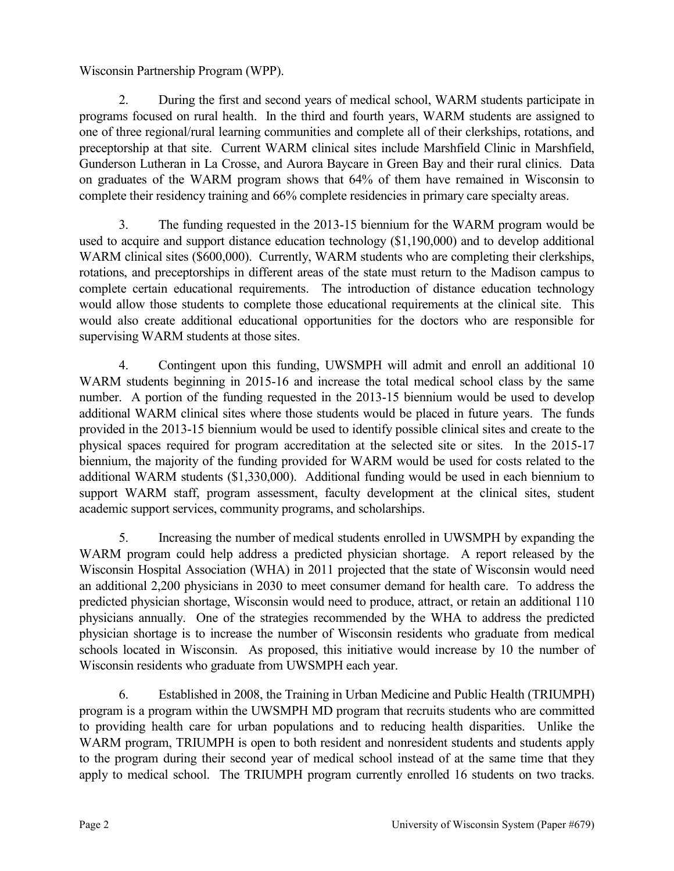Wisconsin Partnership Program (WPP).

2. During the first and second years of medical school, WARM students participate in programs focused on rural health. In the third and fourth years, WARM students are assigned to one of three regional/rural learning communities and complete all of their clerkships, rotations, and preceptorship at that site. Current WARM clinical sites include Marshfield Clinic in Marshfield, Gunderson Lutheran in La Crosse, and Aurora Baycare in Green Bay and their rural clinics. Data on graduates of the WARM program shows that 64% of them have remained in Wisconsin to complete their residency training and 66% complete residencies in primary care specialty areas.

3. The funding requested in the 2013-15 biennium for the WARM program would be used to acquire and support distance education technology (\$1,190,000) and to develop additional WARM clinical sites (\$600,000). Currently, WARM students who are completing their clerkships, rotations, and preceptorships in different areas of the state must return to the Madison campus to complete certain educational requirements. The introduction of distance education technology would allow those students to complete those educational requirements at the clinical site. This would also create additional educational opportunities for the doctors who are responsible for supervising WARM students at those sites.

4. Contingent upon this funding, UWSMPH will admit and enroll an additional 10 WARM students beginning in 2015-16 and increase the total medical school class by the same number. A portion of the funding requested in the 2013-15 biennium would be used to develop additional WARM clinical sites where those students would be placed in future years. The funds provided in the 2013-15 biennium would be used to identify possible clinical sites and create to the physical spaces required for program accreditation at the selected site or sites. In the 2015-17 biennium, the majority of the funding provided for WARM would be used for costs related to the additional WARM students (\$1,330,000). Additional funding would be used in each biennium to support WARM staff, program assessment, faculty development at the clinical sites, student academic support services, community programs, and scholarships.

5. Increasing the number of medical students enrolled in UWSMPH by expanding the WARM program could help address a predicted physician shortage. A report released by the Wisconsin Hospital Association (WHA) in 2011 projected that the state of Wisconsin would need an additional 2,200 physicians in 2030 to meet consumer demand for health care. To address the predicted physician shortage, Wisconsin would need to produce, attract, or retain an additional 110 physicians annually. One of the strategies recommended by the WHA to address the predicted physician shortage is to increase the number of Wisconsin residents who graduate from medical schools located in Wisconsin. As proposed, this initiative would increase by 10 the number of Wisconsin residents who graduate from UWSMPH each year.

6. Established in 2008, the Training in Urban Medicine and Public Health (TRIUMPH) program is a program within the UWSMPH MD program that recruits students who are committed to providing health care for urban populations and to reducing health disparities. Unlike the WARM program, TRIUMPH is open to both resident and nonresident students and students apply to the program during their second year of medical school instead of at the same time that they apply to medical school. The TRIUMPH program currently enrolled 16 students on two tracks.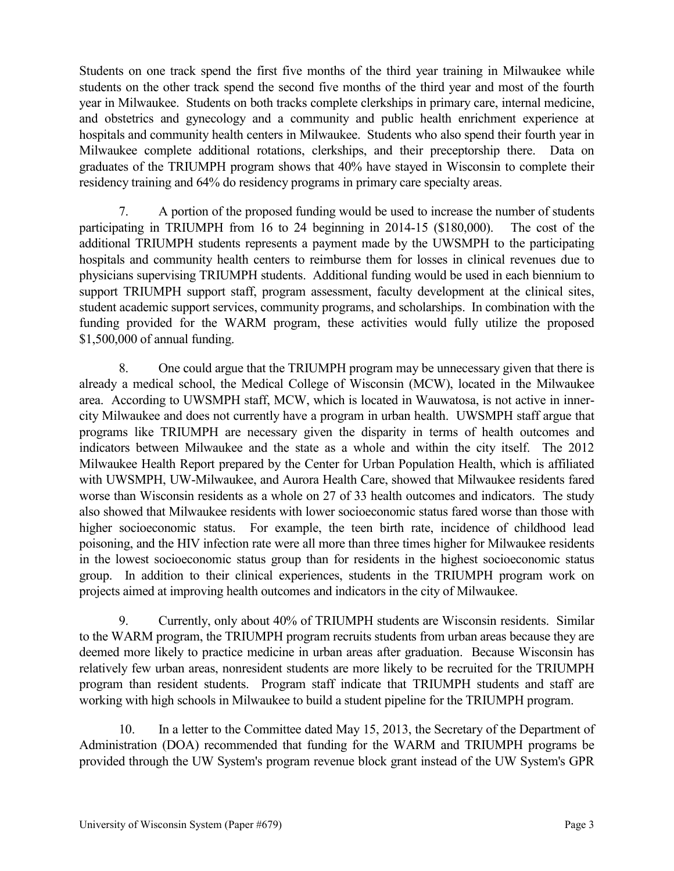Students on one track spend the first five months of the third year training in Milwaukee while students on the other track spend the second five months of the third year and most of the fourth year in Milwaukee. Students on both tracks complete clerkships in primary care, internal medicine, and obstetrics and gynecology and a community and public health enrichment experience at hospitals and community health centers in Milwaukee. Students who also spend their fourth year in Milwaukee complete additional rotations, clerkships, and their preceptorship there. Data on graduates of the TRIUMPH program shows that 40% have stayed in Wisconsin to complete their residency training and 64% do residency programs in primary care specialty areas.

7. A portion of the proposed funding would be used to increase the number of students participating in TRIUMPH from 16 to 24 beginning in 2014-15 (\$180,000). The cost of the additional TRIUMPH students represents a payment made by the UWSMPH to the participating hospitals and community health centers to reimburse them for losses in clinical revenues due to physicians supervising TRIUMPH students. Additional funding would be used in each biennium to support TRIUMPH support staff, program assessment, faculty development at the clinical sites, student academic support services, community programs, and scholarships. In combination with the funding provided for the WARM program, these activities would fully utilize the proposed \$1,500,000 of annual funding.

8. One could argue that the TRIUMPH program may be unnecessary given that there is already a medical school, the Medical College of Wisconsin (MCW), located in the Milwaukee area. According to UWSMPH staff, MCW, which is located in Wauwatosa, is not active in innercity Milwaukee and does not currently have a program in urban health. UWSMPH staff argue that programs like TRIUMPH are necessary given the disparity in terms of health outcomes and indicators between Milwaukee and the state as a whole and within the city itself. The 2012 Milwaukee Health Report prepared by the Center for Urban Population Health, which is affiliated with UWSMPH, UW-Milwaukee, and Aurora Health Care, showed that Milwaukee residents fared worse than Wisconsin residents as a whole on 27 of 33 health outcomes and indicators. The study also showed that Milwaukee residents with lower socioeconomic status fared worse than those with higher socioeconomic status. For example, the teen birth rate, incidence of childhood lead poisoning, and the HIV infection rate were all more than three times higher for Milwaukee residents in the lowest socioeconomic status group than for residents in the highest socioeconomic status group. In addition to their clinical experiences, students in the TRIUMPH program work on projects aimed at improving health outcomes and indicators in the city of Milwaukee.

9. Currently, only about 40% of TRIUMPH students are Wisconsin residents. Similar to the WARM program, the TRIUMPH program recruits students from urban areas because they are deemed more likely to practice medicine in urban areas after graduation. Because Wisconsin has relatively few urban areas, nonresident students are more likely to be recruited for the TRIUMPH program than resident students. Program staff indicate that TRIUMPH students and staff are working with high schools in Milwaukee to build a student pipeline for the TRIUMPH program.

10. In a letter to the Committee dated May 15, 2013, the Secretary of the Department of Administration (DOA) recommended that funding for the WARM and TRIUMPH programs be provided through the UW System's program revenue block grant instead of the UW System's GPR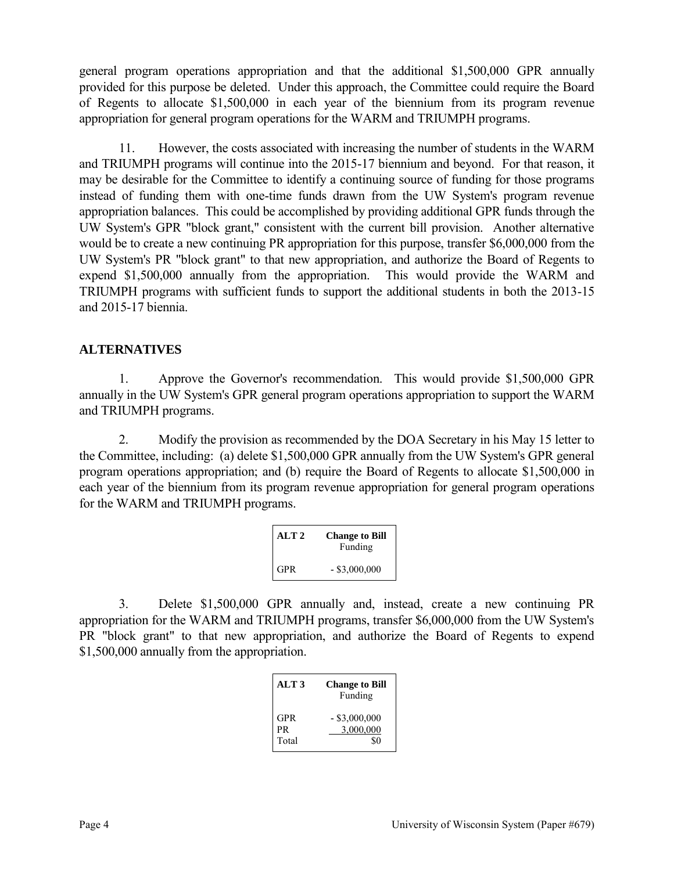general program operations appropriation and that the additional \$1,500,000 GPR annually provided for this purpose be deleted. Under this approach, the Committee could require the Board of Regents to allocate \$1,500,000 in each year of the biennium from its program revenue appropriation for general program operations for the WARM and TRIUMPH programs.

11. However, the costs associated with increasing the number of students in the WARM and TRIUMPH programs will continue into the 2015-17 biennium and beyond. For that reason, it may be desirable for the Committee to identify a continuing source of funding for those programs instead of funding them with one-time funds drawn from the UW System's program revenue appropriation balances. This could be accomplished by providing additional GPR funds through the UW System's GPR "block grant," consistent with the current bill provision. Another alternative would be to create a new continuing PR appropriation for this purpose, transfer \$6,000,000 from the UW System's PR "block grant" to that new appropriation, and authorize the Board of Regents to expend \$1,500,000 annually from the appropriation. This would provide the WARM and TRIUMPH programs with sufficient funds to support the additional students in both the 2013-15 and 2015-17 biennia.

## **ALTERNATIVES**

1. Approve the Governor's recommendation. This would provide \$1,500,000 GPR annually in the UW System's GPR general program operations appropriation to support the WARM and TRIUMPH programs.

2. Modify the provision as recommended by the DOA Secretary in his May 15 letter to the Committee, including: (a) delete \$1,500,000 GPR annually from the UW System's GPR general program operations appropriation; and (b) require the Board of Regents to allocate \$1,500,000 in each year of the biennium from its program revenue appropriation for general program operations for the WARM and TRIUMPH programs.

| ALT <sub>2</sub> | <b>Change to Bill</b><br>Funding |
|------------------|----------------------------------|
| <b>GPR</b>       | $-$ \$3,000,000                  |

3. Delete \$1,500,000 GPR annually and, instead, create a new continuing PR appropriation for the WARM and TRIUMPH programs, transfer \$6,000,000 from the UW System's PR "block grant" to that new appropriation, and authorize the Board of Regents to expend \$1,500,000 annually from the appropriation.

| ALT <sub>3</sub> | <b>Change to Bill</b><br>Funding |
|------------------|----------------------------------|
| <b>GPR</b>       | $-$ \$3,000,000                  |
| PR               | 3,000,000                        |
| Total            | ፍሰ                               |